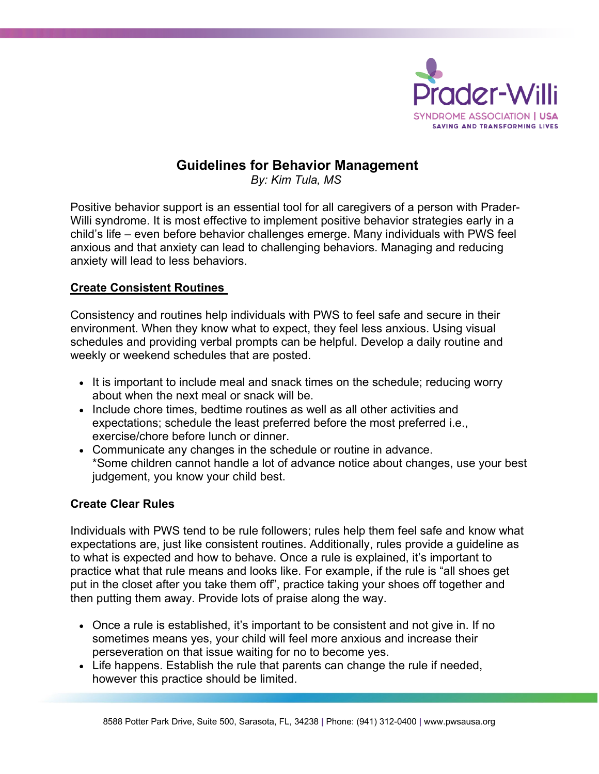

# **Guidelines for Behavior Management**

*By: Kim Tula, MS* 

Positive behavior support is an essential tool for all caregivers of a person with Prader-Willi syndrome. It is most effective to implement positive behavior strategies early in a child's life – even before behavior challenges emerge. Many individuals with PWS feel anxious and that anxiety can lead to challenging behaviors. Managing and reducing anxiety will lead to less behaviors.

# **Create Consistent Routines**

Consistency and routines help individuals with PWS to feel safe and secure in their environment. When they know what to expect, they feel less anxious. Using visual schedules and providing verbal prompts can be helpful. Develop a daily routine and weekly or weekend schedules that are posted.

- It is important to include meal and snack times on the schedule; reducing worry about when the next meal or snack will be.
- Include chore times, bedtime routines as well as all other activities and expectations; schedule the least preferred before the most preferred i.e., exercise/chore before lunch or dinner.
- Communicate any changes in the schedule or routine in advance. \*Some children cannot handle a lot of advance notice about changes, use your best judgement, you know your child best.

# **Create Clear Rules**

Individuals with PWS tend to be rule followers; rules help them feel safe and know what expectations are, just like consistent routines. Additionally, rules provide a guideline as to what is expected and how to behave. Once a rule is explained, it's important to practice what that rule means and looks like. For example, if the rule is "all shoes get put in the closet after you take them off", practice taking your shoes off together and then putting them away. Provide lots of praise along the way.

- Once a rule is established, it's important to be consistent and not give in. If no sometimes means yes, your child will feel more anxious and increase their perseveration on that issue waiting for no to become yes.
- Life happens. Establish the rule that parents can change the rule if needed, however this practice should be limited.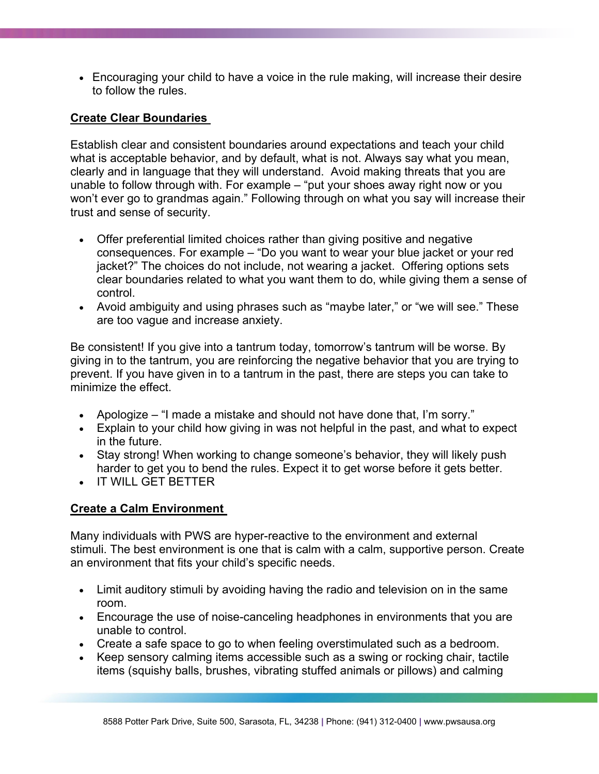• Encouraging your child to have a voice in the rule making, will increase their desire to follow the rules.

## **Create Clear Boundaries**

Establish clear and consistent boundaries around expectations and teach your child what is acceptable behavior, and by default, what is not. Always say what you mean, clearly and in language that they will understand. Avoid making threats that you are unable to follow through with. For example – "put your shoes away right now or you won't ever go to grandmas again." Following through on what you say will increase their trust and sense of security.

- Offer preferential limited choices rather than giving positive and negative consequences. For example – "Do you want to wear your blue jacket or your red jacket?" The choices do not include, not wearing a jacket. Offering options sets clear boundaries related to what you want them to do, while giving them a sense of control.
- Avoid ambiguity and using phrases such as "maybe later," or "we will see." These are too vague and increase anxiety.

Be consistent! If you give into a tantrum today, tomorrow's tantrum will be worse. By giving in to the tantrum, you are reinforcing the negative behavior that you are trying to prevent. If you have given in to a tantrum in the past, there are steps you can take to minimize the effect.

- Apologize "I made a mistake and should not have done that, I'm sorry."
- Explain to your child how giving in was not helpful in the past, and what to expect in the future.
- Stay strong! When working to change someone's behavior, they will likely push harder to get you to bend the rules. Expect it to get worse before it gets better.
- IT WILL GET BETTER

#### **Create a Calm Environment**

Many individuals with PWS are hyper-reactive to the environment and external stimuli. The best environment is one that is calm with a calm, supportive person. Create an environment that fits your child's specific needs.

- Limit auditory stimuli by avoiding having the radio and television on in the same room.
- Encourage the use of noise-canceling headphones in environments that you are unable to control.
- Create a safe space to go to when feeling overstimulated such as a bedroom.
- Keep sensory calming items accessible such as a swing or rocking chair, tactile items (squishy balls, brushes, vibrating stuffed animals or pillows) and calming